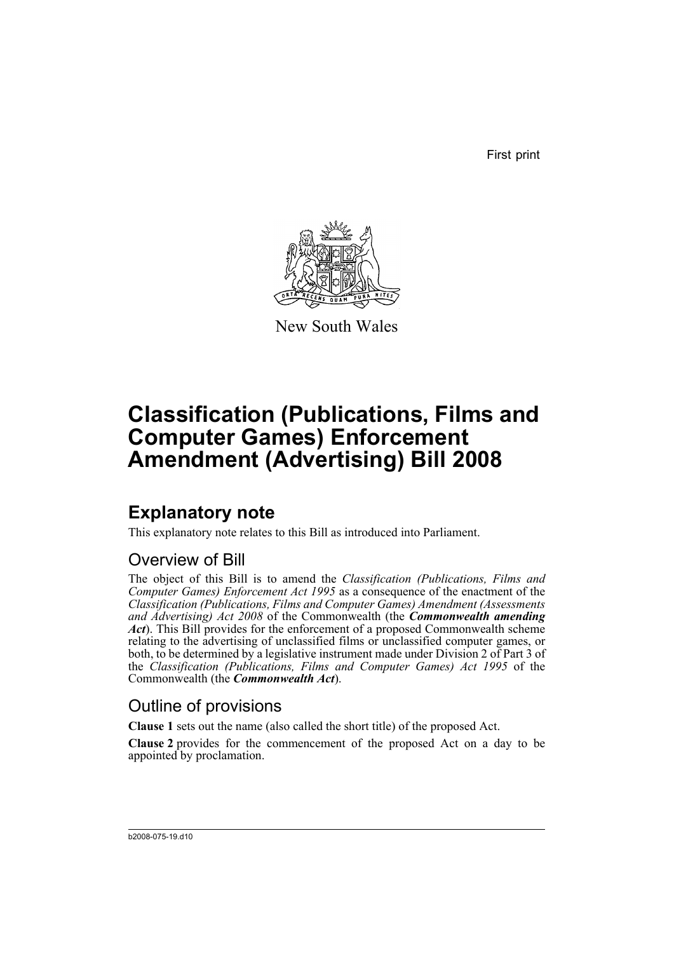First print



New South Wales

# **Classification (Publications, Films and Computer Games) Enforcement Amendment (Advertising) Bill 2008**

## **Explanatory note**

This explanatory note relates to this Bill as introduced into Parliament.

#### Overview of Bill

The object of this Bill is to amend the *Classification (Publications, Films and Computer Games) Enforcement Act 1995* as a consequence of the enactment of the *Classification (Publications, Films and Computer Games) Amendment (Assessments and Advertising) Act 2008* of the Commonwealth (the *Commonwealth amending Act*). This Bill provides for the enforcement of a proposed Commonwealth scheme relating to the advertising of unclassified films or unclassified computer games, or both, to be determined by a legislative instrument made under Division 2 of Part 3 of the *Classification (Publications, Films and Computer Games) Act 1995* of the Commonwealth (the *Commonwealth Act*).

#### Outline of provisions

**Clause 1** sets out the name (also called the short title) of the proposed Act.

**Clause 2** provides for the commencement of the proposed Act on a day to be appointed by proclamation.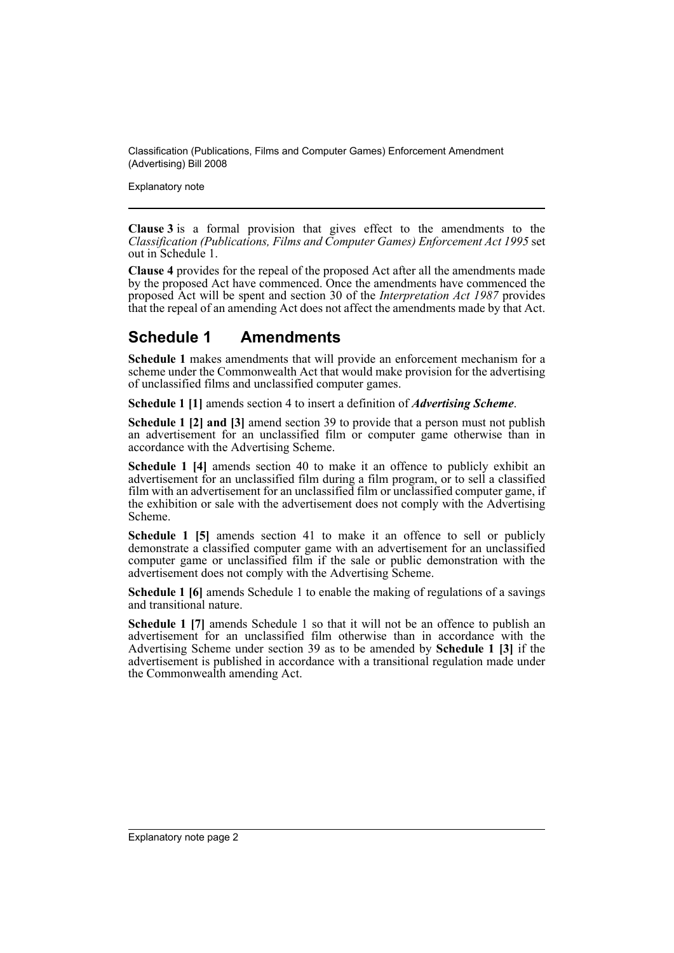Classification (Publications, Films and Computer Games) Enforcement Amendment (Advertising) Bill 2008

Explanatory note

**Clause 3** is a formal provision that gives effect to the amendments to the *Classification (Publications, Films and Computer Games) Enforcement Act 1995* set out in Schedule 1.

**Clause 4** provides for the repeal of the proposed Act after all the amendments made by the proposed Act have commenced. Once the amendments have commenced the proposed Act will be spent and section 30 of the *Interpretation Act 1987* provides that the repeal of an amending Act does not affect the amendments made by that Act.

#### **Schedule 1 Amendments**

**Schedule 1** makes amendments that will provide an enforcement mechanism for a scheme under the Commonwealth Act that would make provision for the advertising of unclassified films and unclassified computer games.

**Schedule 1 [1]** amends section 4 to insert a definition of *Advertising Scheme*.

**Schedule 1 [2] and [3]** amend section 39 to provide that a person must not publish an advertisement for an unclassified film or computer game otherwise than in accordance with the Advertising Scheme.

**Schedule 1 [4]** amends section 40 to make it an offence to publicly exhibit an advertisement for an unclassified film during a film program, or to sell a classified film with an advertisement for an unclassified film or unclassified computer game, if the exhibition or sale with the advertisement does not comply with the Advertising Scheme.

**Schedule 1 [5]** amends section 41 to make it an offence to sell or publicly demonstrate a classified computer game with an advertisement for an unclassified computer game or unclassified film if the sale or public demonstration with the advertisement does not comply with the Advertising Scheme.

**Schedule 1 [6]** amends Schedule 1 to enable the making of regulations of a savings and transitional nature.

**Schedule 1 [7]** amends Schedule 1 so that it will not be an offence to publish an advertisement for an unclassified film otherwise than in accordance with the Advertising Scheme under section 39 as to be amended by **Schedule 1 [3]** if the advertisement is published in accordance with a transitional regulation made under the Commonwealth amending Act.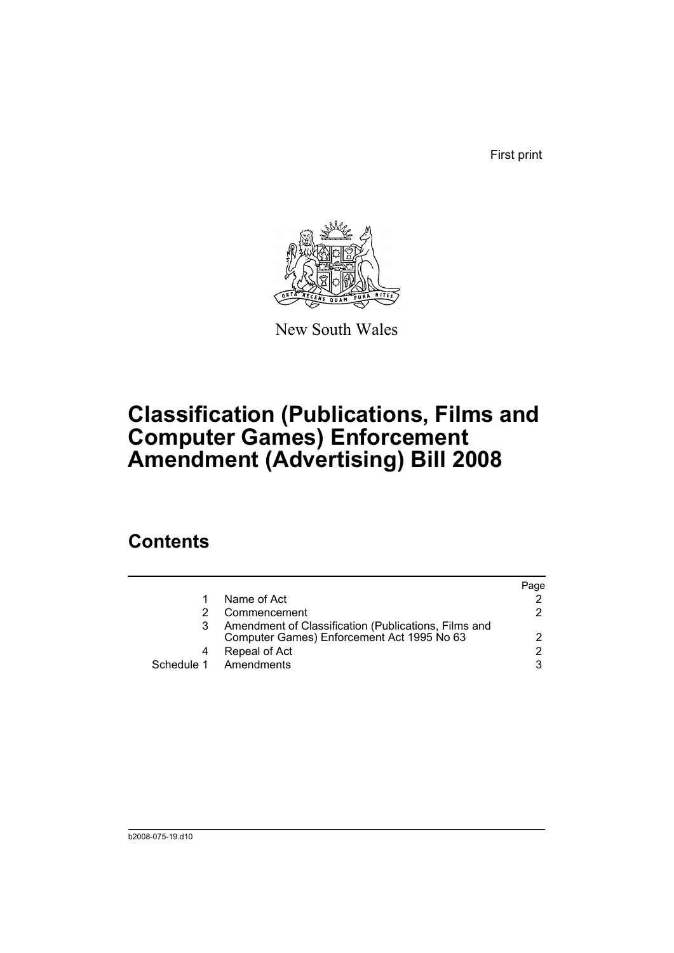First print



New South Wales

# **Classification (Publications, Films and Computer Games) Enforcement Amendment (Advertising) Bill 2008**

### **Contents**

|                                                                                                    | Page                 |
|----------------------------------------------------------------------------------------------------|----------------------|
| Name of Act                                                                                        |                      |
| Commencement                                                                                       | 2.                   |
| Amendment of Classification (Publications, Films and<br>Computer Games) Enforcement Act 1995 No 63 |                      |
| Repeal of Act                                                                                      | $\mathcal{P} \equiv$ |
| Schedule 1 Amendments                                                                              | 3                    |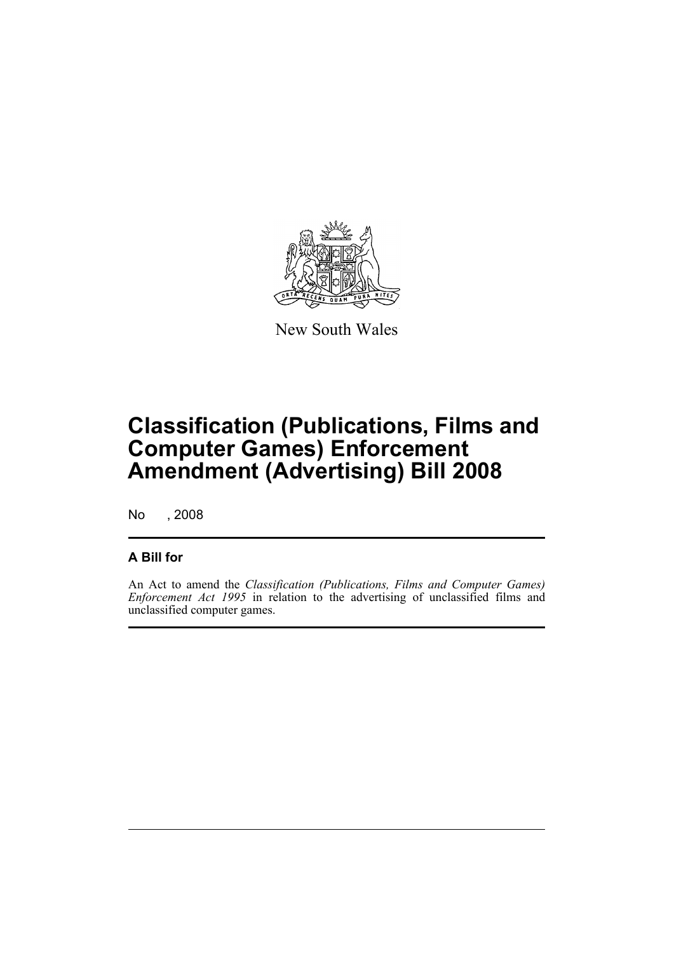

New South Wales

# **Classification (Publications, Films and Computer Games) Enforcement Amendment (Advertising) Bill 2008**

No , 2008

#### **A Bill for**

An Act to amend the *Classification (Publications, Films and Computer Games) Enforcement Act 1995* in relation to the advertising of unclassified films and unclassified computer games.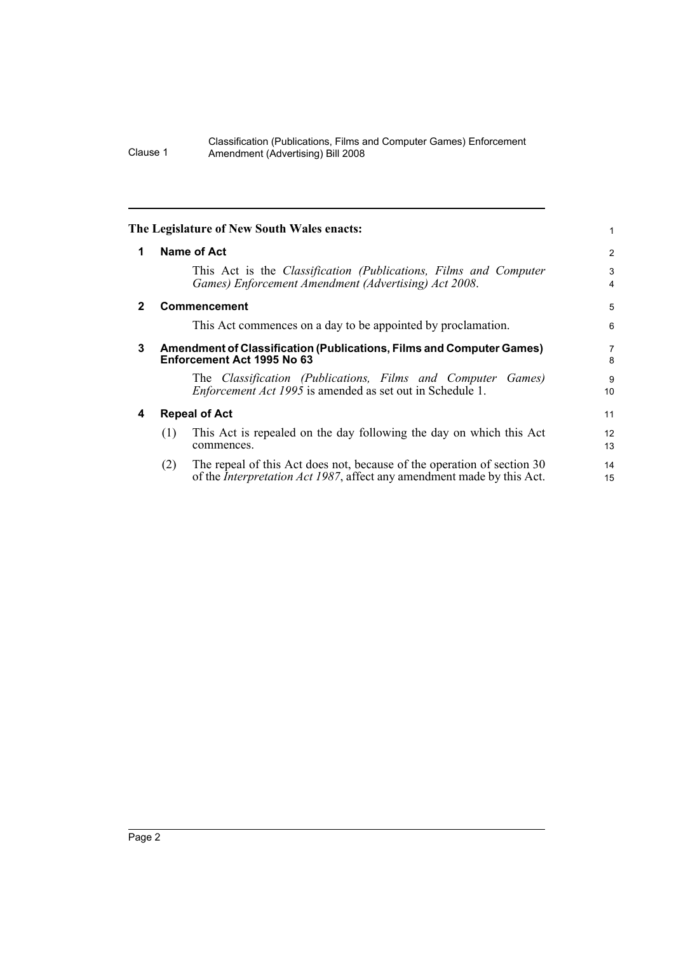#### Classification (Publications, Films and Computer Games) Enforcement Clause 1 Amendment (Advertising) Bill 2008

<span id="page-5-3"></span><span id="page-5-2"></span><span id="page-5-1"></span><span id="page-5-0"></span>

|              | The Legislature of New South Wales enacts:                                                                                                                       | 1              |  |
|--------------|------------------------------------------------------------------------------------------------------------------------------------------------------------------|----------------|--|
| 1            | Name of Act                                                                                                                                                      | $\overline{2}$ |  |
|              | This Act is the <i>Classification (Publications, Films and Computer</i><br>Games) Enforcement Amendment (Advertising) Act 2008.                                  | 3<br>4         |  |
| $\mathbf{2}$ | <b>Commencement</b>                                                                                                                                              | 5              |  |
|              | This Act commences on a day to be appointed by proclamation.                                                                                                     | 6              |  |
| 3            | <b>Amendment of Classification (Publications, Films and Computer Games)</b><br>Enforcement Act 1995 No 63                                                        |                |  |
|              | The Classification (Publications, Films and Computer Games)<br><i>Enforcement Act 1995</i> is amended as set out in Schedule 1.                                  | 9<br>10        |  |
| 4            | <b>Repeal of Act</b>                                                                                                                                             | 11             |  |
|              | This Act is repealed on the day following the day on which this Act<br>(1)<br>commences.                                                                         | 12<br>13       |  |
|              | The repeal of this Act does not, because of the operation of section 30<br>(2)<br>of the <i>Interpretation Act 1987</i> , affect any amendment made by this Act. | 14<br>15       |  |
|              |                                                                                                                                                                  |                |  |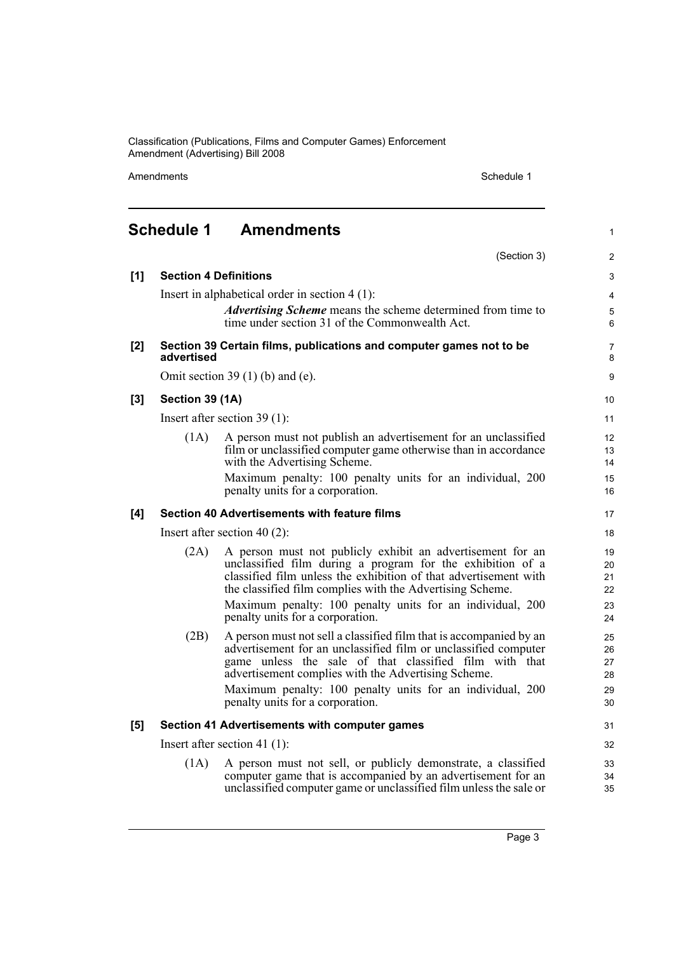Classification (Publications, Films and Computer Games) Enforcement Amendment (Advertising) Bill 2008

Amendments Schedule 1

(Section 3)

1

2

# <span id="page-6-0"></span>**Schedule 1 Amendments**

| [1] |                                                     | <b>Section 4 Definitions</b>                                                                                                                                                                                                                                                                                                                               | 3                                |
|-----|-----------------------------------------------------|------------------------------------------------------------------------------------------------------------------------------------------------------------------------------------------------------------------------------------------------------------------------------------------------------------------------------------------------------------|----------------------------------|
|     |                                                     | Insert in alphabetical order in section $4(1)$ :<br>Advertising Scheme means the scheme determined from time to<br>time under section 31 of the Commonwealth Act.                                                                                                                                                                                          | 4<br>5<br>6                      |
| [2] | advertised                                          | Section 39 Certain films, publications and computer games not to be                                                                                                                                                                                                                                                                                        | $\overline{7}$<br>8              |
|     | Omit section 39 $(1)$ (b) and (e).                  |                                                                                                                                                                                                                                                                                                                                                            |                                  |
| [3] | Section 39 (1A)                                     |                                                                                                                                                                                                                                                                                                                                                            |                                  |
|     | Insert after section $39(1)$ :                      |                                                                                                                                                                                                                                                                                                                                                            |                                  |
|     | (1A)                                                | A person must not publish an advertisement for an unclassified<br>film or unclassified computer game otherwise than in accordance<br>with the Advertising Scheme.                                                                                                                                                                                          | 12<br>13<br>14                   |
|     |                                                     | Maximum penalty: 100 penalty units for an individual, 200<br>penalty units for a corporation.                                                                                                                                                                                                                                                              | 15<br>16                         |
| [4] | <b>Section 40 Advertisements with feature films</b> |                                                                                                                                                                                                                                                                                                                                                            | 17                               |
|     | Insert after section 40 $(2)$ :                     |                                                                                                                                                                                                                                                                                                                                                            |                                  |
|     | (2A)                                                | A person must not publicly exhibit an advertisement for an<br>unclassified film during a program for the exhibition of a<br>classified film unless the exhibition of that advertisement with<br>the classified film complies with the Advertising Scheme.<br>Maximum penalty: 100 penalty units for an individual, 200<br>penalty units for a corporation. | 19<br>20<br>21<br>22<br>23<br>24 |
|     | (2B)                                                | A person must not sell a classified film that is accompanied by an<br>advertisement for an unclassified film or unclassified computer<br>game unless the sale of that classified film with that<br>advertisement complies with the Advertising Scheme.<br>Maximum penalty: 100 penalty units for an individual, 200<br>penalty units for a corporation.    | 25<br>26<br>27<br>28<br>29<br>30 |
| [5] |                                                     | Section 41 Advertisements with computer games                                                                                                                                                                                                                                                                                                              | 31                               |
|     | Insert after section 41 $(1)$ :                     |                                                                                                                                                                                                                                                                                                                                                            |                                  |
|     | (1A)                                                | A person must not sell, or publicly demonstrate, a classified<br>computer game that is accompanied by an advertisement for an<br>unclassified computer game or unclassified film unless the sale or                                                                                                                                                        | 33<br>34<br>35                   |